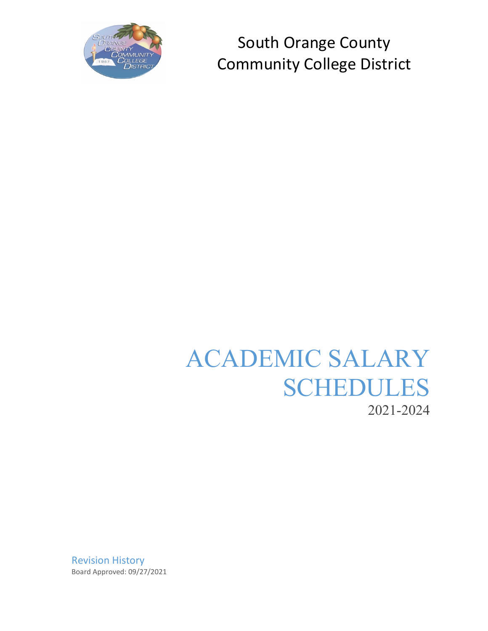

# ACADEMIC SALARY SCHEDULES 2021-2024

Revision History Board Approved: 09/27/2021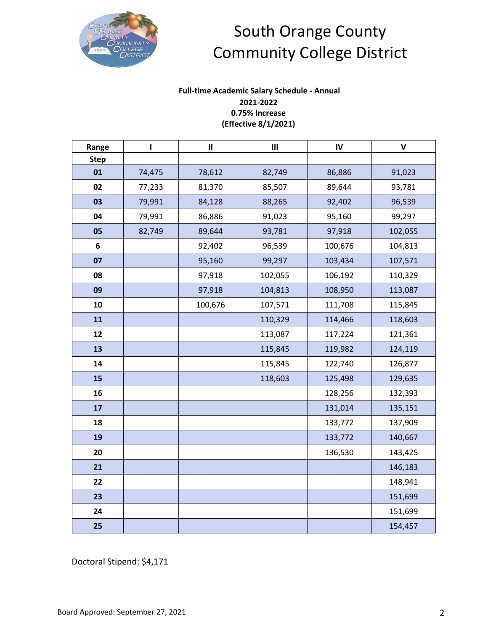

### **Full-time Academic Salary Schedule - Annual 2021-2022 0.75% Increase (Effective 8/1/2021)**

| Range       | $\mathbf{I}$ | $\mathbf{II}$ | $\mathbf{III}$ | $\mathsf{IV}$ | $\pmb{\mathsf{V}}$ |
|-------------|--------------|---------------|----------------|---------------|--------------------|
| <b>Step</b> |              |               |                |               |                    |
| 01          | 74,475       | 78,612        | 82,749         | 86,886        | 91,023             |
| 02          | 77,233       | 81,370        | 85,507         | 89,644        | 93,781             |
| 03          | 79,991       | 84,128        | 88,265         | 92,402        | 96,539             |
| 04          | 79,991       | 86,886        | 91,023         | 95,160        | 99,297             |
| 05          | 82,749       | 89,644        | 93,781         | 97,918        | 102,055            |
| 6           |              | 92,402        | 96,539         | 100,676       | 104,813            |
| 07          |              | 95,160        | 99,297         | 103,434       | 107,571            |
| 08          |              | 97,918        | 102,055        | 106,192       | 110,329            |
| 09          |              | 97,918        | 104,813        | 108,950       | 113,087            |
| 10          |              | 100,676       | 107,571        | 111,708       | 115,845            |
| 11          |              |               | 110,329        | 114,466       | 118,603            |
| 12          |              |               | 113,087        | 117,224       | 121,361            |
| 13          |              |               | 115,845        | 119,982       | 124,119            |
| 14          |              |               | 115,845        | 122,740       | 126,877            |
| 15          |              |               | 118,603        | 125,498       | 129,635            |
| 16          |              |               |                | 128,256       | 132,393            |
| 17          |              |               |                | 131,014       | 135,151            |
| 18          |              |               |                | 133,772       | 137,909            |
| 19          |              |               |                | 133,772       | 140,667            |
| 20          |              |               |                | 136,530       | 143,425            |
| 21          |              |               |                |               | 146,183            |
| 22          |              |               |                |               | 148,941            |
| 23          |              |               |                |               | 151,699            |
| 24          |              |               |                |               | 151,699            |
| 25          |              |               |                |               | 154,457            |

Doctoral Stipend: \$4,171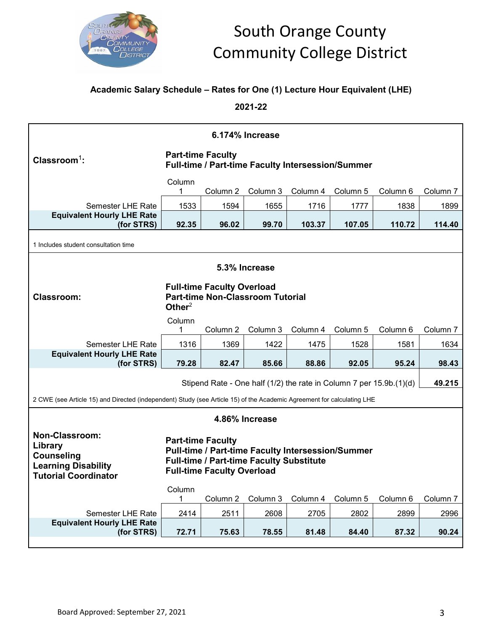

### **Academic Salary Schedule – Rates for One (1) Lecture Hour Equivalent (LHE)**

**2021-22**

| 6.174% Increase                                                                                                                                                                                                                                                                                    |                        |                          |                |                                                   |          |                                                                     |                     |  |
|----------------------------------------------------------------------------------------------------------------------------------------------------------------------------------------------------------------------------------------------------------------------------------------------------|------------------------|--------------------------|----------------|---------------------------------------------------|----------|---------------------------------------------------------------------|---------------------|--|
| Classroom <sup>1</sup> :                                                                                                                                                                                                                                                                           |                        | <b>Part-time Faculty</b> |                | Full-time / Part-time Faculty Intersession/Summer |          |                                                                     |                     |  |
|                                                                                                                                                                                                                                                                                                    | Column<br>1            | Column 2                 | Column 3       | Column 4                                          | Column 5 | Column 6                                                            | Column <sub>7</sub> |  |
| <b>Semester LHE Rate</b>                                                                                                                                                                                                                                                                           | 1533                   | 1594                     | 1655           | 1716                                              | 1777     | 1838                                                                | 1899                |  |
| <b>Equivalent Hourly LHE Rate</b><br>(for STRS)                                                                                                                                                                                                                                                    | 92.35                  | 96.02                    | 99.70          | 103.37                                            | 107.05   | 110.72                                                              | 114.40              |  |
| 1 Includes student consultation time                                                                                                                                                                                                                                                               |                        |                          |                |                                                   |          |                                                                     |                     |  |
| 5.3% Increase                                                                                                                                                                                                                                                                                      |                        |                          |                |                                                   |          |                                                                     |                     |  |
| <b>Full-time Faculty Overload</b><br><b>Part-time Non-Classroom Tutorial</b><br><b>Classroom:</b><br>Other $2$                                                                                                                                                                                     |                        |                          |                |                                                   |          |                                                                     |                     |  |
|                                                                                                                                                                                                                                                                                                    | Column<br>1            | Column 2                 | Column 3       | Column 4                                          | Column 5 | Column 6                                                            | Column 7            |  |
| <b>Semester LHE Rate</b>                                                                                                                                                                                                                                                                           | 1316                   | 1369                     | 1422           | 1475                                              | 1528     | 1581                                                                | 1634                |  |
| <b>Equivalent Hourly LHE Rate</b><br>(for STRS)                                                                                                                                                                                                                                                    | 79.28                  | 82.47                    | 85.66          | 88.86                                             | 92.05    | 95.24                                                               | 98.43               |  |
|                                                                                                                                                                                                                                                                                                    |                        |                          |                |                                                   |          | Stipend Rate - One half (1/2) the rate in Column 7 per 15.9b.(1)(d) | 49.215              |  |
| 2 CWE (see Article 15) and Directed (independent) Study (see Article 15) of the Academic Agreement for calculating LHE                                                                                                                                                                             |                        |                          |                |                                                   |          |                                                                     |                     |  |
|                                                                                                                                                                                                                                                                                                    |                        |                          | 4.86% Increase |                                                   |          |                                                                     |                     |  |
| <b>Non-Classroom:</b><br><b>Part-time Faculty</b><br>Library<br><b>Pull-time / Part-time Faculty Intersession/Summer</b><br><b>Counseling</b><br><b>Full-time / Part-time Faculty Substitute</b><br><b>Learning Disability</b><br><b>Full-time Faculty Overload</b><br><b>Tutorial Coordinator</b> |                        |                          |                |                                                   |          |                                                                     |                     |  |
|                                                                                                                                                                                                                                                                                                    | Column<br>$\mathbf{1}$ | Column 2                 | Column 3       | Column 4                                          | Column 5 | Column 6                                                            | Column <sub>7</sub> |  |
| Semester LHE Rate                                                                                                                                                                                                                                                                                  | 2414                   | 2511                     | 2608           | 2705                                              | 2802     | 2899                                                                | 2996                |  |
| <b>Equivalent Hourly LHE Rate</b><br>(for STRS)                                                                                                                                                                                                                                                    | 72.71                  | 75.63                    | 78.55          | 81.48                                             | 84.40    | 87.32                                                               | 90.24               |  |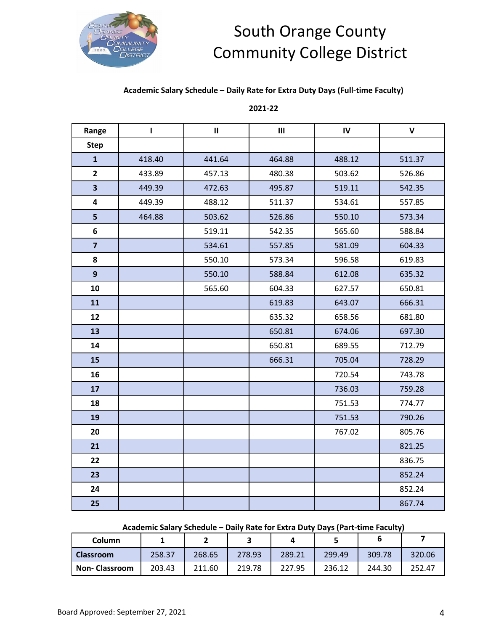

#### **Academic Salary Schedule – Daily Rate for Extra Duty Days (Full-time Faculty)**

#### **2021-22**

| Range                   | $\mathbf{I}$ | $\mathbf{II}$ | $\mathsf{III}\xspace$ | IV     | $\mathbf v$ |
|-------------------------|--------------|---------------|-----------------------|--------|-------------|
| <b>Step</b>             |              |               |                       |        |             |
| $\mathbf{1}$            | 418.40       | 441.64        | 464.88                | 488.12 | 511.37      |
| $\overline{2}$          | 433.89       | 457.13        | 480.38                | 503.62 | 526.86      |
| $\overline{\mathbf{3}}$ | 449.39       | 472.63        | 495.87                | 519.11 | 542.35      |
| 4                       | 449.39       | 488.12        | 511.37                | 534.61 | 557.85      |
| 5                       | 464.88       | 503.62        | 526.86                | 550.10 | 573.34      |
| $\boldsymbol{6}$        |              | 519.11        | 542.35                | 565.60 | 588.84      |
| $\overline{\mathbf{z}}$ |              | 534.61        | 557.85                | 581.09 | 604.33      |
| 8                       |              | 550.10        | 573.34                | 596.58 | 619.83      |
| $\mathbf{9}$            |              | 550.10        | 588.84                | 612.08 | 635.32      |
| 10                      |              | 565.60        | 604.33                | 627.57 | 650.81      |
| 11                      |              |               | 619.83                | 643.07 | 666.31      |
| 12                      |              |               | 635.32                | 658.56 | 681.80      |
| 13                      |              |               | 650.81                | 674.06 | 697.30      |
| 14                      |              |               | 650.81                | 689.55 | 712.79      |
| 15                      |              |               | 666.31                | 705.04 | 728.29      |
| 16                      |              |               |                       | 720.54 | 743.78      |
| 17                      |              |               |                       | 736.03 | 759.28      |
| 18                      |              |               |                       | 751.53 | 774.77      |
| 19                      |              |               |                       | 751.53 | 790.26      |
| 20                      |              |               |                       | 767.02 | 805.76      |
| 21                      |              |               |                       |        | 821.25      |
| 22                      |              |               |                       |        | 836.75      |
| 23                      |              |               |                       |        | 852.24      |
| 24                      |              |               |                       |        | 852.24      |
| 25                      |              |               |                       |        | 867.74      |

#### **Academic Salary Schedule – Daily Rate for Extra Duty Days (Part-time Faculty)**

| Column               |        | -      |        |        |        |        |        |
|----------------------|--------|--------|--------|--------|--------|--------|--------|
| <b>Classroom</b>     | 258.37 | 268.65 | 278.93 | 289.21 | 299.49 | 309.78 | 320.06 |
| <b>Non-Classroom</b> | 203.43 | 211.60 | 219.78 | 227.95 | 236.12 | 244.30 | 252.47 |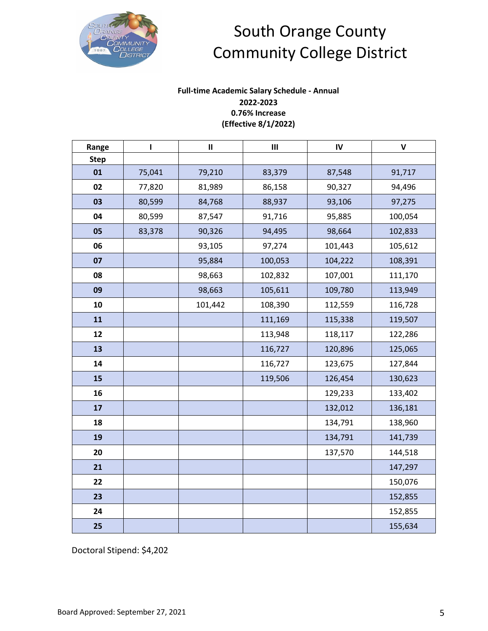

### **Full-time Academic Salary Schedule - Annual 2022-2023 0.76% Increase (Effective 8/1/2022)**

| Range       | T      | $\mathbf{II}$ | $\mathsf{III}\xspace$ | $\mathsf{IV}$ | $\mathsf{V}$ |
|-------------|--------|---------------|-----------------------|---------------|--------------|
| <b>Step</b> |        |               |                       |               |              |
| 01          | 75,041 | 79,210        | 83,379                | 87,548        | 91,717       |
| 02          | 77,820 | 81,989        | 86,158                | 90,327        | 94,496       |
| 03          | 80,599 | 84,768        | 88,937                | 93,106        | 97,275       |
| 04          | 80,599 | 87,547        | 91,716                | 95,885        | 100,054      |
| 05          | 83,378 | 90,326        | 94,495                | 98,664        | 102,833      |
| 06          |        | 93,105        | 97,274                | 101,443       | 105,612      |
| 07          |        | 95,884        | 100,053               | 104,222       | 108,391      |
| 08          |        | 98,663        | 102,832               | 107,001       | 111,170      |
| 09          |        | 98,663        | 105,611               | 109,780       | 113,949      |
| 10          |        | 101,442       | 108,390               | 112,559       | 116,728      |
| 11          |        |               | 111,169               | 115,338       | 119,507      |
| 12          |        |               | 113,948               | 118,117       | 122,286      |
| 13          |        |               | 116,727               | 120,896       | 125,065      |
| 14          |        |               | 116,727               | 123,675       | 127,844      |
| 15          |        |               | 119,506               | 126,454       | 130,623      |
| 16          |        |               |                       | 129,233       | 133,402      |
| 17          |        |               |                       | 132,012       | 136,181      |
| 18          |        |               |                       | 134,791       | 138,960      |
| 19          |        |               |                       | 134,791       | 141,739      |
| 20          |        |               |                       | 137,570       | 144,518      |
| 21          |        |               |                       |               | 147,297      |
| 22          |        |               |                       |               | 150,076      |
| 23          |        |               |                       |               | 152,855      |
| 24          |        |               |                       |               | 152,855      |
| 25          |        |               |                       |               | 155,634      |

Doctoral Stipend: \$4,202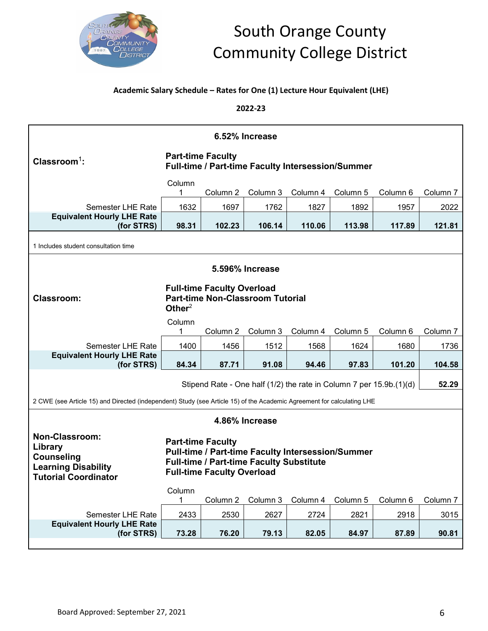

### **Academic Salary Schedule – Rates for One (1) Lecture Hour Equivalent (LHE)**

**2022-23**

|                                                                                                                        | 6.52% Increase           |                                                               |                                                 |                                                   |          |                                                                     |          |  |  |
|------------------------------------------------------------------------------------------------------------------------|--------------------------|---------------------------------------------------------------|-------------------------------------------------|---------------------------------------------------|----------|---------------------------------------------------------------------|----------|--|--|
| $Clasroom1$ :                                                                                                          | <b>Part-time Faculty</b> |                                                               |                                                 | Full-time / Part-time Faculty Intersession/Summer |          |                                                                     |          |  |  |
|                                                                                                                        | Column<br>1              | Column 2                                                      | Column 3                                        | Column 4                                          | Column 5 | Column 6                                                            | Column 7 |  |  |
| <b>Semester LHE Rate</b>                                                                                               | 1632                     | 1697                                                          | 1762                                            | 1827                                              | 1892     | 1957                                                                | 2022     |  |  |
| <b>Equivalent Hourly LHE Rate</b><br>(for STRS)                                                                        | 98.31                    | 102.23                                                        | 106.14                                          | 110.06                                            | 113.98   | 117.89                                                              | 121.81   |  |  |
| 1 Includes student consultation time                                                                                   |                          |                                                               |                                                 |                                                   |          |                                                                     |          |  |  |
| 5.596% Increase                                                                                                        |                          |                                                               |                                                 |                                                   |          |                                                                     |          |  |  |
| <b>Full-time Faculty Overload</b><br><b>Part-time Non-Classroom Tutorial</b><br><b>Classroom:</b><br>Other $2$         |                          |                                                               |                                                 |                                                   |          |                                                                     |          |  |  |
|                                                                                                                        | Column<br>1              | Column 2                                                      | Column 3                                        | Column 4                                          | Column 5 | Column 6                                                            | Column 7 |  |  |
| <b>Semester LHE Rate</b>                                                                                               | 1400                     | 1456                                                          | 1512                                            | 1568                                              | 1624     | 1680                                                                | 1736     |  |  |
| <b>Equivalent Hourly LHE Rate</b><br>(for STRS)                                                                        | 84.34                    | 87.71                                                         | 91.08                                           | 94.46                                             | 97.83    | 101.20                                                              | 104.58   |  |  |
|                                                                                                                        |                          |                                                               |                                                 |                                                   |          | Stipend Rate - One half (1/2) the rate in Column 7 per 15.9b.(1)(d) | 52.29    |  |  |
| 2 CWE (see Article 15) and Directed (independent) Study (see Article 15) of the Academic Agreement for calculating LHE |                          |                                                               |                                                 |                                                   |          |                                                                     |          |  |  |
|                                                                                                                        |                          |                                                               | 4.86% Increase                                  |                                                   |          |                                                                     |          |  |  |
|                                                                                                                        |                          |                                                               |                                                 |                                                   |          |                                                                     |          |  |  |
| <b>Non-Classroom:</b><br>Library<br><b>Counseling</b><br><b>Learning Disability</b><br><b>Tutorial Coordinator</b>     |                          | <b>Part-time Faculty</b><br><b>Full-time Faculty Overload</b> | <b>Full-time / Part-time Faculty Substitute</b> | Pull-time / Part-time Faculty Intersession/Summer |          |                                                                     |          |  |  |
|                                                                                                                        | Column<br>1              | Column 2                                                      | Column 3                                        | Column 4                                          | Column 5 | Column 6                                                            | Column 7 |  |  |
| Semester LHE Rate                                                                                                      | 2433                     | 2530                                                          | 2627                                            | 2724                                              | 2821     | 2918                                                                | 3015     |  |  |
| <b>Equivalent Hourly LHE Rate</b><br>(for STRS)                                                                        | 73.28                    | 76.20                                                         | 79.13                                           | 82.05                                             | 84.97    | 87.89                                                               | 90.81    |  |  |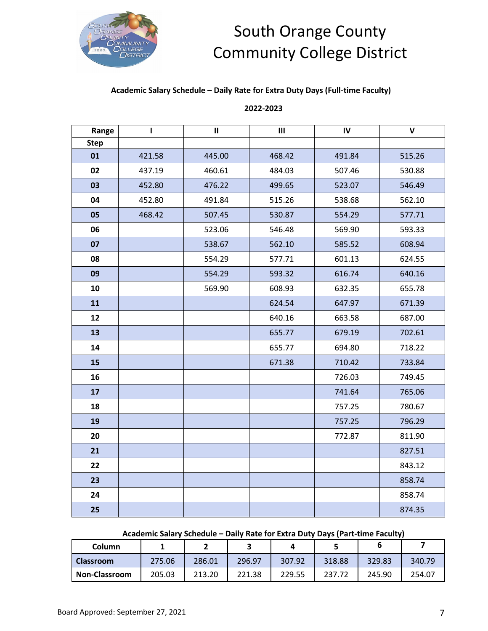

#### **Academic Salary Schedule – Daily Rate for Extra Duty Days (Full-time Faculty)**

#### **2022-2023**

| Range       | L      | $\mathbf{II}$ | $\mathbf{III}$ | IV     | $\mathbf v$ |
|-------------|--------|---------------|----------------|--------|-------------|
| <b>Step</b> |        |               |                |        |             |
| 01          | 421.58 | 445.00        | 468.42         | 491.84 | 515.26      |
| 02          | 437.19 | 460.61        | 484.03         | 507.46 | 530.88      |
| 03          | 452.80 | 476.22        | 499.65         | 523.07 | 546.49      |
| 04          | 452.80 | 491.84        | 515.26         | 538.68 | 562.10      |
| 05          | 468.42 | 507.45        | 530.87         | 554.29 | 577.71      |
| 06          |        | 523.06        | 546.48         | 569.90 | 593.33      |
| 07          |        | 538.67        | 562.10         | 585.52 | 608.94      |
| 08          |        | 554.29        | 577.71         | 601.13 | 624.55      |
| 09          |        | 554.29        | 593.32         | 616.74 | 640.16      |
| 10          |        | 569.90        | 608.93         | 632.35 | 655.78      |
| 11          |        |               | 624.54         | 647.97 | 671.39      |
| 12          |        |               | 640.16         | 663.58 | 687.00      |
| 13          |        |               | 655.77         | 679.19 | 702.61      |
| 14          |        |               | 655.77         | 694.80 | 718.22      |
| 15          |        |               | 671.38         | 710.42 | 733.84      |
| 16          |        |               |                | 726.03 | 749.45      |
| 17          |        |               |                | 741.64 | 765.06      |
| 18          |        |               |                | 757.25 | 780.67      |
| 19          |        |               |                | 757.25 | 796.29      |
| 20          |        |               |                | 772.87 | 811.90      |
| 21          |        |               |                |        | 827.51      |
| 22          |        |               |                |        | 843.12      |
| 23          |        |               |                |        | 858.74      |
| 24          |        |               |                |        | 858.74      |
| 25          |        |               |                |        | 874.35      |

#### **Academic Salary Schedule – Daily Rate for Extra Duty Days (Part-time Faculty)**

| Column               |        |        |        |        |        |        |        |
|----------------------|--------|--------|--------|--------|--------|--------|--------|
| <b>Classroom</b>     | 275.06 | 286.01 | 296.97 | 307.92 | 318.88 | 329.83 | 340.79 |
| <b>Non-Classroom</b> | 205.03 | 213.20 | 221.38 | 229.55 | 237.72 | 245.90 | 254.07 |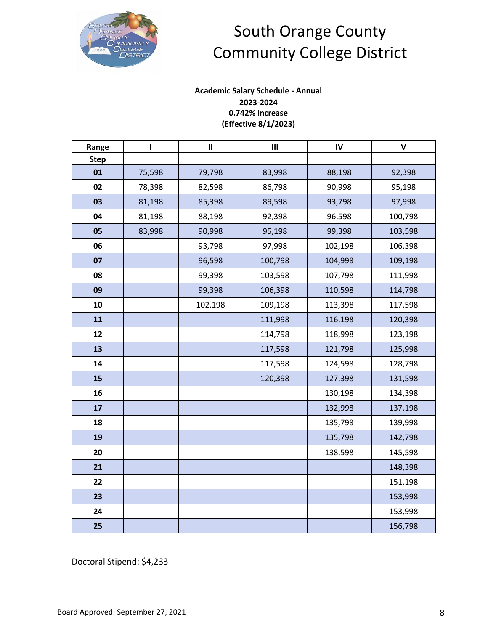

### **Academic Salary Schedule - Annual 2023-2024 0.742% Increase (Effective 8/1/2023)**

| Range       | т      | $\mathbf{II}$ | $\mathsf{III}\xspace$ | ${\sf IV}$ | $\mathsf{V}$ |
|-------------|--------|---------------|-----------------------|------------|--------------|
| <b>Step</b> |        |               |                       |            |              |
| 01          | 75,598 | 79,798        | 83,998                | 88,198     | 92,398       |
| 02          | 78,398 | 82,598        | 86,798                | 90,998     | 95,198       |
| 03          | 81,198 | 85,398        | 89,598                | 93,798     | 97,998       |
| 04          | 81,198 | 88,198        | 92,398                | 96,598     | 100,798      |
| 05          | 83,998 | 90,998        | 95,198                | 99,398     | 103,598      |
| 06          |        | 93,798        | 97,998                | 102,198    | 106,398      |
| 07          |        | 96,598        | 100,798               | 104,998    | 109,198      |
| 08          |        | 99,398        | 103,598               | 107,798    | 111,998      |
| 09          |        | 99,398        | 106,398               | 110,598    | 114,798      |
| 10          |        | 102,198       | 109,198               | 113,398    | 117,598      |
| 11          |        |               | 111,998               | 116,198    | 120,398      |
| 12          |        |               | 114,798               | 118,998    | 123,198      |
| 13          |        |               | 117,598               | 121,798    | 125,998      |
| 14          |        |               | 117,598               | 124,598    | 128,798      |
| 15          |        |               | 120,398               | 127,398    | 131,598      |
| 16          |        |               |                       | 130,198    | 134,398      |
| 17          |        |               |                       | 132,998    | 137,198      |
| 18          |        |               |                       | 135,798    | 139,998      |
| 19          |        |               |                       | 135,798    | 142,798      |
| 20          |        |               |                       | 138,598    | 145,598      |
| 21          |        |               |                       |            | 148,398      |
| 22          |        |               |                       |            | 151,198      |
| 23          |        |               |                       |            | 153,998      |
| 24          |        |               |                       |            | 153,998      |
| 25          |        |               |                       |            | 156,798      |

Doctoral Stipend: \$4,233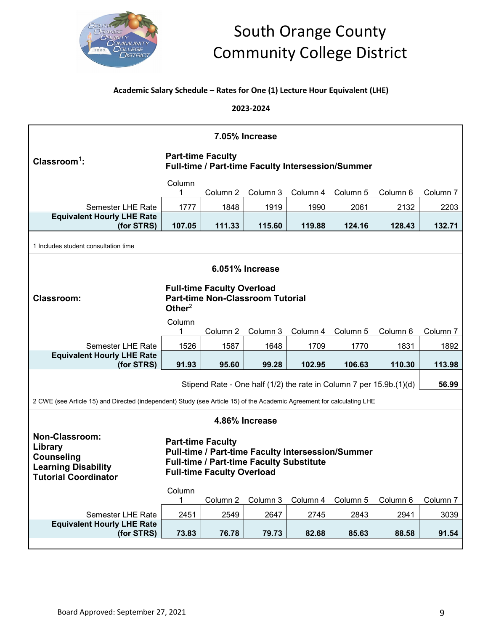

### **Academic Salary Schedule – Rates for One (1) Lecture Hour Equivalent (LHE)**

**2023-2024**

|                                                                                                                                                                                                                                                                                      | 7.05% Increase |                          |                |                                                   |          |                                                                     |                     |  |  |
|--------------------------------------------------------------------------------------------------------------------------------------------------------------------------------------------------------------------------------------------------------------------------------------|----------------|--------------------------|----------------|---------------------------------------------------|----------|---------------------------------------------------------------------|---------------------|--|--|
| Clas <b>room</b> <sup>1</sup> :                                                                                                                                                                                                                                                      |                | <b>Part-time Faculty</b> |                | Full-time / Part-time Faculty Intersession/Summer |          |                                                                     |                     |  |  |
|                                                                                                                                                                                                                                                                                      | Column<br>1    | Column <sub>2</sub>      | Column 3       | Column 4                                          | Column 5 | Column 6                                                            | Column 7            |  |  |
| Semester LHE Rate                                                                                                                                                                                                                                                                    | 1777           | 1848                     | 1919           | 1990                                              | 2061     | 2132                                                                | 2203                |  |  |
| <b>Equivalent Hourly LHE Rate</b><br>(for STRS)                                                                                                                                                                                                                                      | 107.05         | 111.33                   | 115.60         | 119.88                                            | 124.16   | 128.43                                                              | 132.71              |  |  |
| 1 Includes student consultation time                                                                                                                                                                                                                                                 |                |                          |                |                                                   |          |                                                                     |                     |  |  |
| 6.051% Increase                                                                                                                                                                                                                                                                      |                |                          |                |                                                   |          |                                                                     |                     |  |  |
| <b>Full-time Faculty Overload</b><br><b>Part-time Non-Classroom Tutorial</b><br><b>Classroom:</b><br>Other $2$                                                                                                                                                                       |                |                          |                |                                                   |          |                                                                     |                     |  |  |
|                                                                                                                                                                                                                                                                                      | Column<br>1    | Column <sub>2</sub>      | Column 3       | Column 4                                          | Column 5 | Column 6                                                            | Column 7            |  |  |
| Semester LHE Rate                                                                                                                                                                                                                                                                    | 1526           | 1587                     | 1648           | 1709                                              | 1770     | 1831                                                                | 1892                |  |  |
| <b>Equivalent Hourly LHE Rate</b><br>(for STRS)                                                                                                                                                                                                                                      | 91.93          | 95.60                    | 99.28          | 102.95                                            | 106.63   | 110.30                                                              | 113.98              |  |  |
|                                                                                                                                                                                                                                                                                      |                |                          |                |                                                   |          | Stipend Rate - One half (1/2) the rate in Column 7 per 15.9b.(1)(d) | 56.99               |  |  |
| 2 CWE (see Article 15) and Directed (independent) Study (see Article 15) of the Academic Agreement for calculating LHE                                                                                                                                                               |                |                          |                |                                                   |          |                                                                     |                     |  |  |
|                                                                                                                                                                                                                                                                                      |                |                          | 4.86% Increase |                                                   |          |                                                                     |                     |  |  |
| <b>Non-Classroom:</b><br><b>Part-time Faculty</b><br>Library<br>Pull-time / Part-time Faculty Intersession/Summer<br><b>Counseling</b><br>Full-time / Part-time Faculty Substitute<br><b>Learning Disability</b><br><b>Full-time Faculty Overload</b><br><b>Tutorial Coordinator</b> |                |                          |                |                                                   |          |                                                                     |                     |  |  |
|                                                                                                                                                                                                                                                                                      | Column<br>1    | Column <sub>2</sub>      | Column 3       | Column 4                                          | Column 5 | Column 6                                                            | Column <sub>7</sub> |  |  |
| Semester LHE Rate                                                                                                                                                                                                                                                                    | 2451           | 2549                     | 2647           | 2745                                              | 2843     | 2941                                                                | 3039                |  |  |
| <b>Equivalent Hourly LHE Rate</b><br>(for STRS)                                                                                                                                                                                                                                      | 73.83          | 76.78                    | 79.73          | 82.68                                             | 85.63    | 88.58                                                               | 91.54               |  |  |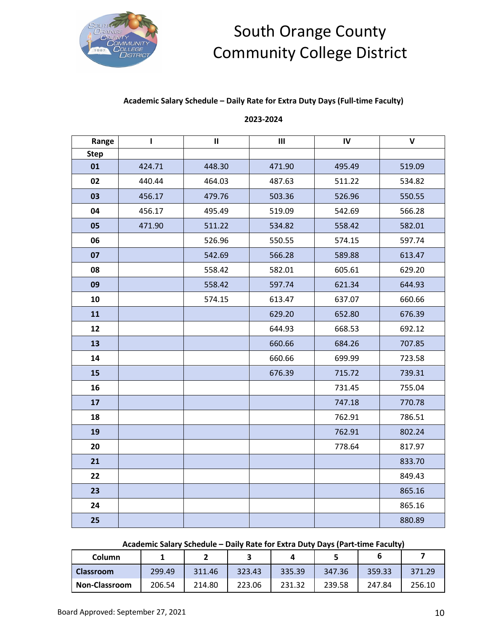

### **Academic Salary Schedule – Daily Rate for Extra Duty Days (Full-time Faculty)**

### **2023-2024**

| Range       | ı      | $\mathbf{II}$ | $\mathsf{III}\xspace$ | IV     | $\mathbf v$ |
|-------------|--------|---------------|-----------------------|--------|-------------|
| <b>Step</b> |        |               |                       |        |             |
| 01          | 424.71 | 448.30        | 471.90                | 495.49 | 519.09      |
| 02          | 440.44 | 464.03        | 487.63                | 511.22 | 534.82      |
| 03          | 456.17 | 479.76        | 503.36                | 526.96 | 550.55      |
| 04          | 456.17 | 495.49        | 519.09                | 542.69 | 566.28      |
| 05          | 471.90 | 511.22        | 534.82                | 558.42 | 582.01      |
| 06          |        | 526.96        | 550.55                | 574.15 | 597.74      |
| 07          |        | 542.69        | 566.28                | 589.88 | 613.47      |
| 08          |        | 558.42        | 582.01                | 605.61 | 629.20      |
| 09          |        | 558.42        | 597.74                | 621.34 | 644.93      |
| 10          |        | 574.15        | 613.47                | 637.07 | 660.66      |
| 11          |        |               | 629.20                | 652.80 | 676.39      |
| 12          |        |               | 644.93                | 668.53 | 692.12      |
| 13          |        |               | 660.66                | 684.26 | 707.85      |
| 14          |        |               | 660.66                | 699.99 | 723.58      |
| 15          |        |               | 676.39                | 715.72 | 739.31      |
| 16          |        |               |                       | 731.45 | 755.04      |
| 17          |        |               |                       | 747.18 | 770.78      |
| 18          |        |               |                       | 762.91 | 786.51      |
| 19          |        |               |                       | 762.91 | 802.24      |
| 20          |        |               |                       | 778.64 | 817.97      |
| 21          |        |               |                       |        | 833.70      |
| 22          |        |               |                       |        | 849.43      |
| 23          |        |               |                       |        | 865.16      |
| 24          |        |               |                       |        | 865.16      |
| 25          |        |               |                       |        | 880.89      |

#### **Academic Salary Schedule – Daily Rate for Extra Duty Days (Part-time Faculty)**

| Column               |        |        |        |        |        |        |        |
|----------------------|--------|--------|--------|--------|--------|--------|--------|
| <b>Classroom</b>     | 299.49 | 311.46 | 323.43 | 335.39 | 347.36 | 359.33 | 371.29 |
| <b>Non-Classroom</b> | 206.54 | 214.80 | 223.06 | 231.32 | 239.58 | 247.84 | 256.10 |